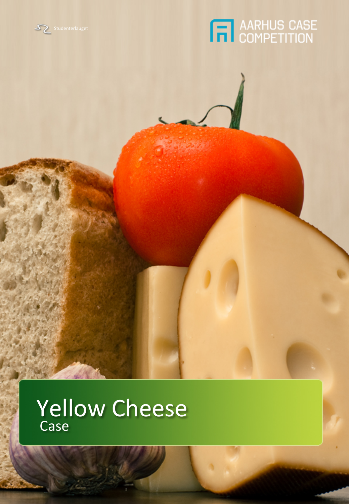



# Yellow Cheese Case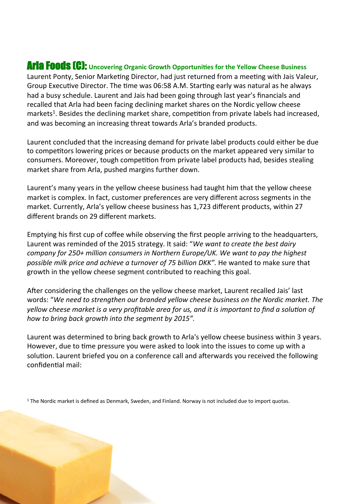### Arla Foods [C]: Uncovering Organic Growth Opportunities for the Yellow Cheese Business

Laurent Ponty, Senior Marketing Director, had just returned from a meeting with Jais Valeur, Group Executive Director. The time was 06:58 A.M. Starting early was natural as he always had a busy schedule. Laurent and Jais had been going through last year's financials and recalled that Arla had been facing declining market shares on the Nordic yellow cheese markets<sup>1</sup>. Besides the declining market share, competition from private labels had increased, and was becoming an increasing threat towards Arla's branded products.

Laurent concluded that the increasing demand for private label products could either be due to competitors lowering prices or because products on the market appeared very similar to consumers. Moreover, tough competition from private label products had, besides stealing market share from Arla, pushed margins further down.

Laurent's many years in the yellow cheese business had taught him that the yellow cheese market is complex. In fact, customer preferences are very different across segments in the market. Currently, Arla's yellow cheese business has 1,723 different products, within 27 different brands on 29 different markets.

Emptying his first cup of coffee while observing the first people arriving to the headquarters, Laurent was reminded of the 2015 strategy. It said: "We want to create the best dairy *company* for 250+ million consumers in Northern Europe/UK. We want to pay the highest possible milk price and achieve a turnover of 75 billion DKK". He wanted to make sure that growth in the yellow cheese segment contributed to reaching this goal.

After considering the challenges on the yellow cheese market, Laurent recalled Jais' last words: "We need to strengthen our branded yellow cheese business on the Nordic market. The yellow cheese market is a very profitable area for us, and it is important to find a solution of how to bring back growth into the segment by 2015".

Laurent was determined to bring back growth to Arla's yellow cheese business within 3 years. However, due to time pressure you were asked to look into the issues to come up with a solution. Laurent briefed you on a conference call and afterwards you received the following confidential mail:

 $1$  The Nordic market is defined as Denmark, Sweden, and Finland. Norway is not included due to import quotas.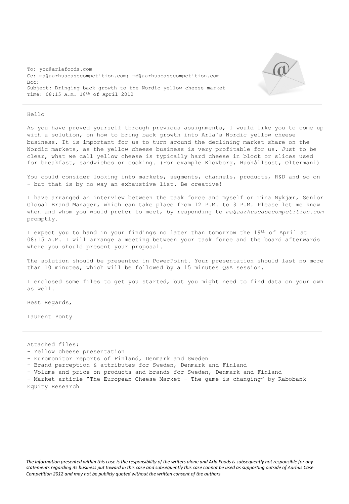To: you@arlafoods.com Cc: ma@aarhuscasecompetition.com; md@aarhuscasecompetition.com Bcc: Subject: Bringing back growth to the Nordic yellow cheese market Time: 08:15 A.M. 18th of April 2012



#### Hello

As you have proved yourself through previous assignments, I would like you to come up with a solution, on how to bring back growth into Arla's Nordic yellow cheese business. It is important for us to turn around the declining market share on the Nordic markets, as the yellow cheese business is very profitable for us. Just to be clear, what we call yellow cheese is typically hard cheese in block or slices used for breakfast, sandwiches or cooking. (For example Klovborg, Hushållsost, Oltermani)

You could consider looking into markets, segments, channels, products, R&D and so on – but that is by no way an exhaustive list. Be creative!

I have arranged an interview between the task force and myself or Tina Nykjær, Senior Global Brand Manager, which can take place from 12 P.M. to 3 P.M. Please let me know when and whom you would prefer to meet, by responding to *ma@aarhuscasecompetition.com* promptly.

I expect you to hand in your findings no later than tomorrow the 19th of April at 08:15 A.M. I will arrange a meeting between your task force and the board afterwards where you should present your proposal.

The solution should be presented in PowerPoint. Your presentation should last no more than 10 minutes, which will be followed by a 15 minutes Q&A session.

I enclosed some files to get you started, but you might need to find data on your own as well.

Best Regards,

Laurent Ponty

Attached files:

- Yellow cheese presentation
- Euromonitor reports of Finland, Denmark and Sweden
- Brand perception & attributes for Sweden, Denmark and Finland
- Volume and price on products and brands for Sweden, Denmark and Finland

- Market article "The European Cheese Market – The game is changing" by Rabobank Equity Research